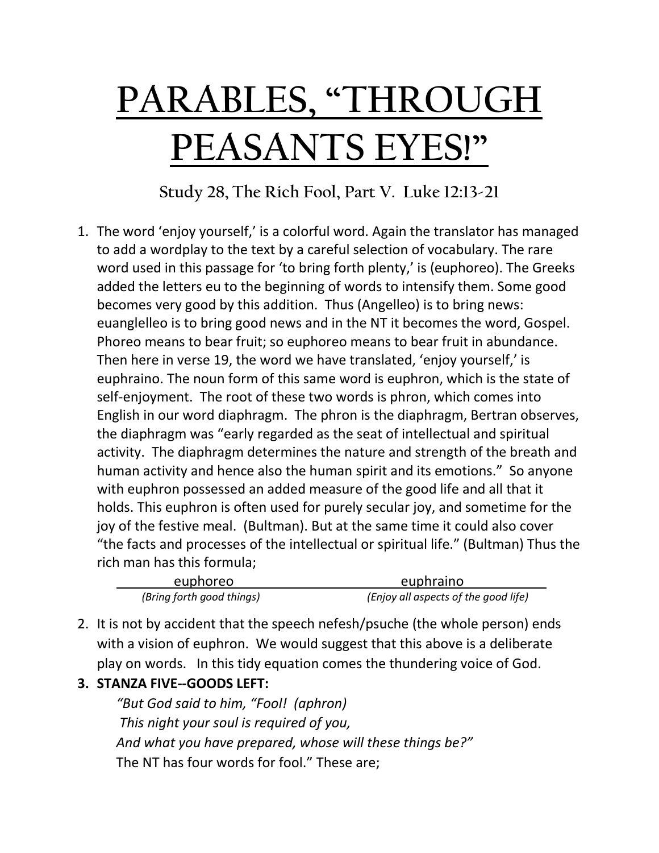## **PARABLES, "THROUGH PEASANTS EYES!"**

**Study 28, The Rich Fool, Part V. Luke 12:13-21**

1. The word 'enjoy yourself,' is a colorful word. Again the translator has managed to add a wordplay to the text by a careful selection of vocabulary. The rare word used in this passage for 'to bring forth plenty,' is (euphoreo). The Greeks added the letters eu to the beginning of words to intensify them. Some good becomes very good by this addition. Thus (Angelleo) is to bring news: euanglelleo is to bring good news and in the NT it becomes the word, Gospel. Phoreo means to bear fruit; so euphoreo means to bear fruit in abundance. Then here in verse 19, the word we have translated, 'enjoy yourself,' is euphraino. The noun form of this same word is euphron, which is the state of self-enjoyment. The root of these two words is phron, which comes into English in our word diaphragm. The phron is the diaphragm, Bertran observes, the diaphragm was "early regarded as the seat of intellectual and spiritual activity. The diaphragm determines the nature and strength of the breath and human activity and hence also the human spirit and its emotions." So anyone with euphron possessed an added measure of the good life and all that it holds. This euphron is often used for purely secular joy, and sometime for the joy of the festive meal. (Bultman). But at the same time it could also cover "the facts and processes of the intellectual or spiritual life." (Bultman) Thus the rich man has this formula;

| euphoreo                  | euphraino                            |
|---------------------------|--------------------------------------|
| (Bring forth good things) | (Enjoy all aspects of the good life) |

- 2. It is not by accident that the speech nefesh/psuche (the whole person) ends with a vision of euphron. We would suggest that this above is a deliberate play on words. In this tidy equation comes the thundering voice of God.
- **3. STANZA FIVE--GOODS LEFT:**

*"But God said to him, "Fool! (aphron) This night your soul is required of you, And what you have prepared, whose will these things be?"* The NT has four words for fool." These are;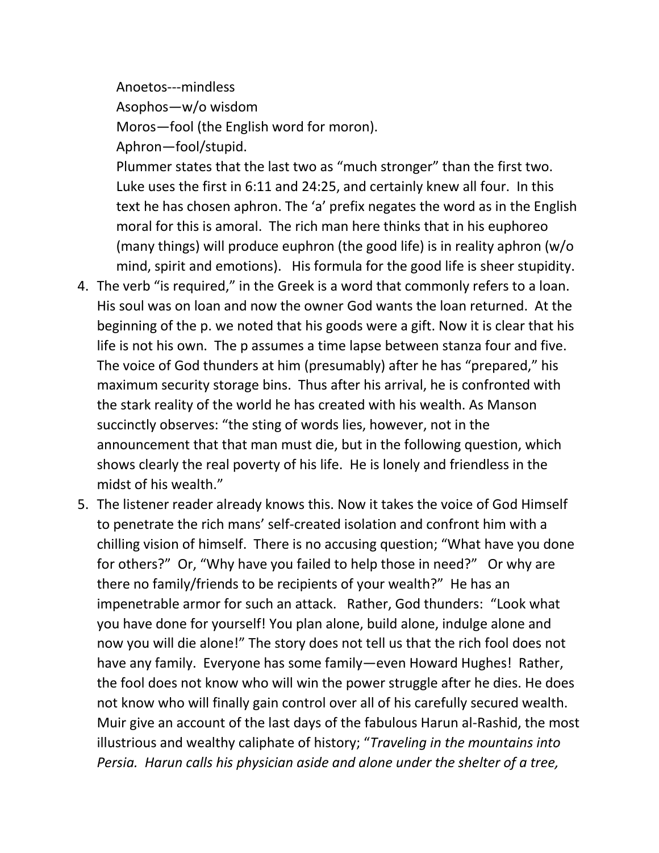Anoetos---mindless Asophos—w/o wisdom Moros—fool (the English word for moron). Aphron—fool/stupid.

Plummer states that the last two as "much stronger" than the first two. Luke uses the first in 6:11 and 24:25, and certainly knew all four. In this text he has chosen aphron. The 'a' prefix negates the word as in the English moral for this is amoral. The rich man here thinks that in his euphoreo (many things) will produce euphron (the good life) is in reality aphron (w/o mind, spirit and emotions). His formula for the good life is sheer stupidity.

- 4. The verb "is required," in the Greek is a word that commonly refers to a loan. His soul was on loan and now the owner God wants the loan returned. At the beginning of the p. we noted that his goods were a gift. Now it is clear that his life is not his own. The p assumes a time lapse between stanza four and five. The voice of God thunders at him (presumably) after he has "prepared," his maximum security storage bins. Thus after his arrival, he is confronted with the stark reality of the world he has created with his wealth. As Manson succinctly observes: "the sting of words lies, however, not in the announcement that that man must die, but in the following question, which shows clearly the real poverty of his life. He is lonely and friendless in the midst of his wealth."
- 5. The listener reader already knows this. Now it takes the voice of God Himself to penetrate the rich mans' self-created isolation and confront him with a chilling vision of himself. There is no accusing question; "What have you done for others?" Or, "Why have you failed to help those in need?" Or why are there no family/friends to be recipients of your wealth?" He has an impenetrable armor for such an attack. Rather, God thunders: "Look what you have done for yourself! You plan alone, build alone, indulge alone and now you will die alone!" The story does not tell us that the rich fool does not have any family. Everyone has some family—even Howard Hughes! Rather, the fool does not know who will win the power struggle after he dies. He does not know who will finally gain control over all of his carefully secured wealth. Muir give an account of the last days of the fabulous Harun al-Rashid, the most illustrious and wealthy caliphate of history; "*Traveling in the mountains into Persia. Harun calls his physician aside and alone under the shelter of a tree,*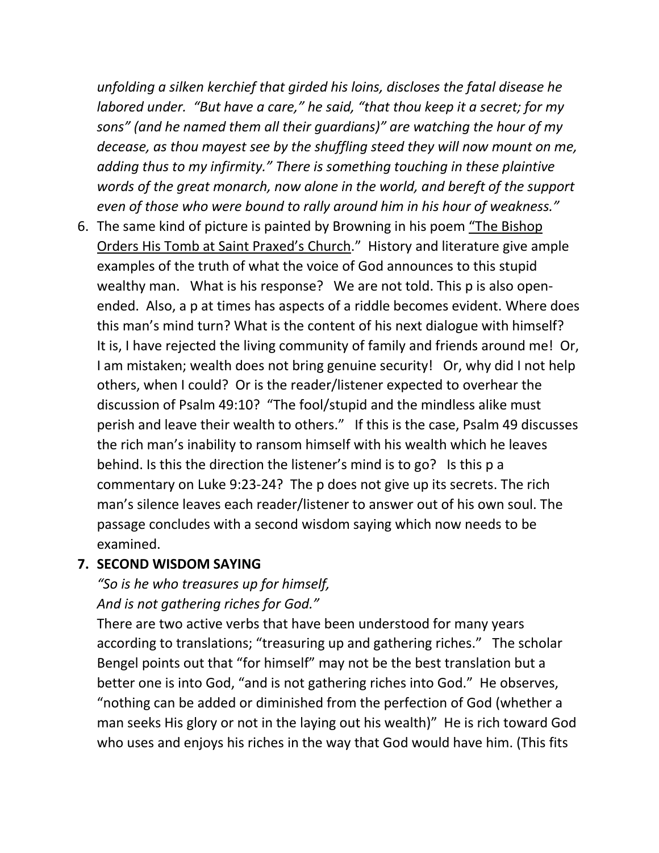*unfolding a silken kerchief that girded his loins, discloses the fatal disease he labored under. "But have a care," he said, "that thou keep it a secret; for my sons" (and he named them all their guardians)" are watching the hour of my decease, as thou mayest see by the shuffling steed they will now mount on me, adding thus to my infirmity." There is something touching in these plaintive words of the great monarch, now alone in the world, and bereft of the support even of those who were bound to rally around him in his hour of weakness."*

6. The same kind of picture is painted by Browning in his poem "The Bishop Orders His Tomb at Saint Praxed's Church." History and literature give ample examples of the truth of what the voice of God announces to this stupid wealthy man. What is his response? We are not told. This p is also openended. Also, a p at times has aspects of a riddle becomes evident. Where does this man's mind turn? What is the content of his next dialogue with himself? It is, I have rejected the living community of family and friends around me! Or, I am mistaken; wealth does not bring genuine security! Or, why did I not help others, when I could? Or is the reader/listener expected to overhear the discussion of Psalm 49:10? "The fool/stupid and the mindless alike must perish and leave their wealth to others." If this is the case, Psalm 49 discusses the rich man's inability to ransom himself with his wealth which he leaves behind. Is this the direction the listener's mind is to go? Is this p a commentary on Luke 9:23-24? The p does not give up its secrets. The rich man's silence leaves each reader/listener to answer out of his own soul. The passage concludes with a second wisdom saying which now needs to be examined.

## **7. SECOND WISDOM SAYING**

## *"So is he who treasures up for himself, And is not gathering riches for God."*

There are two active verbs that have been understood for many years according to translations; "treasuring up and gathering riches." The scholar Bengel points out that "for himself" may not be the best translation but a better one is into God, "and is not gathering riches into God." He observes, "nothing can be added or diminished from the perfection of God (whether a man seeks His glory or not in the laying out his wealth)" He is rich toward God who uses and enjoys his riches in the way that God would have him. (This fits